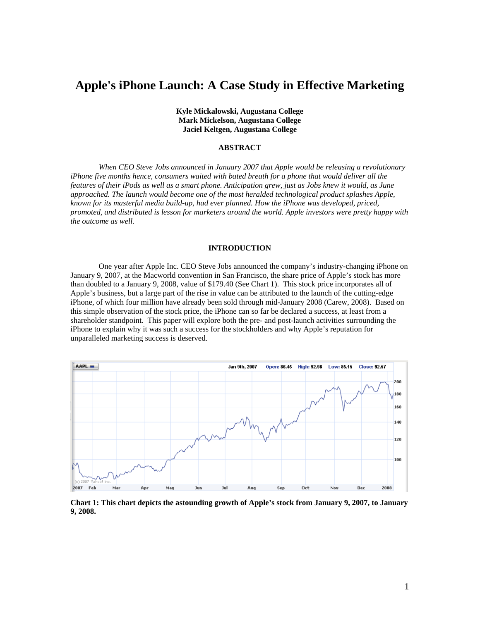# **Apple's iPhone Launch: A Case Study in Effective Marketing**

**Kyle Mickalowski, Augustana College Mark Mickelson, Augustana College Jaciel Keltgen, Augustana College** 

# **ABSTRACT**

*When CEO Steve Jobs announced in January 2007 that Apple would be releasing a revolutionary iPhone five months hence, consumers waited with bated breath for a phone that would deliver all the features of their iPods as well as a smart phone. Anticipation grew, just as Jobs knew it would, as June approached. The launch would become one of the most heralded technological product splashes Apple, known for its masterful media build-up, had ever planned. How the iPhone was developed, priced, promoted, and distributed is lesson for marketers around the world. Apple investors were pretty happy with the outcome as well.* 

#### **INTRODUCTION**

One year after Apple Inc. CEO Steve Jobs announced the company's industry-changing iPhone on January 9, 2007, at the Macworld convention in San Francisco, the share price of Apple's stock has more than doubled to a January 9, 2008, value of \$179.40 (See Chart 1). This stock price incorporates all of Apple's business, but a large part of the rise in value can be attributed to the launch of the cutting-edge iPhone, of which four million have already been sold through mid-January 2008 (Carew, 2008). Based on this simple observation of the stock price, the iPhone can so far be declared a success, at least from a shareholder standpoint. This paper will explore both the pre- and post-launch activities surrounding the iPhone to explain why it was such a success for the stockholders and why Apple's reputation for unparalleled marketing success is deserved.



**Chart 1: This chart depicts the astounding growth of Apple's stock from January 9, 2007, to January 9, 2008.**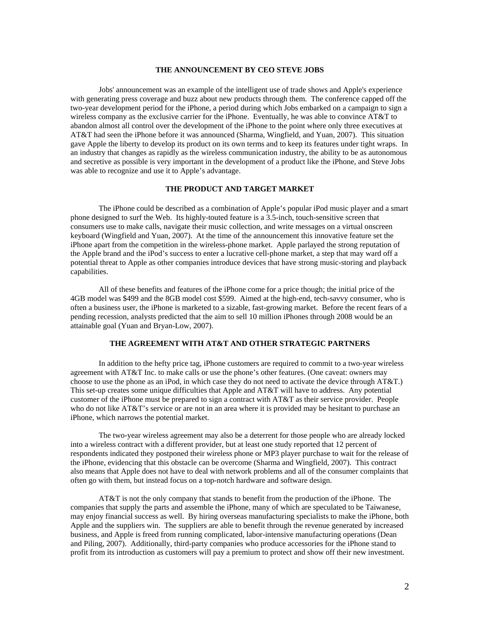# **THE ANNOUNCEMENT BY CEO STEVE JOBS**

Jobs' announcement was an example of the intelligent use of trade shows and Apple's experience with generating press coverage and buzz about new products through them. The conference capped off the two-year development period for the iPhone, a period during which Jobs embarked on a campaign to sign a wireless company as the exclusive carrier for the iPhone. Eventually, he was able to convince AT&T to abandon almost all control over the development of the iPhone to the point where only three executives at AT&T had seen the iPhone before it was announced (Sharma, Wingfield, and Yuan, 2007). This situation gave Apple the liberty to develop its product on its own terms and to keep its features under tight wraps. In an industry that changes as rapidly as the wireless communication industry, the ability to be as autonomous and secretive as possible is very important in the development of a product like the iPhone, and Steve Jobs was able to recognize and use it to Apple's advantage.

#### **THE PRODUCT AND TARGET MARKET**

The iPhone could be described as a combination of Apple's popular iPod music player and a smart phone designed to surf the Web. Its highly-touted feature is a 3.5-inch, touch-sensitive screen that consumers use to make calls, navigate their music collection, and write messages on a virtual onscreen keyboard (Wingfield and Yuan, 2007). At the time of the announcement this innovative feature set the iPhone apart from the competition in the wireless-phone market. Apple parlayed the strong reputation of the Apple brand and the iPod's success to enter a lucrative cell-phone market, a step that may ward off a potential threat to Apple as other companies introduce devices that have strong music-storing and playback capabilities.

All of these benefits and features of the iPhone come for a price though; the initial price of the 4GB model was \$499 and the 8GB model cost \$599. Aimed at the high-end, tech-savvy consumer, who is often a business user, the iPhone is marketed to a sizable, fast-growing market. Before the recent fears of a pending recession, analysts predicted that the aim to sell 10 million iPhones through 2008 would be an attainable goal (Yuan and Bryan-Low, 2007).

#### **THE AGREEMENT WITH AT&T AND OTHER STRATEGIC PARTNERS**

In addition to the hefty price tag, iPhone customers are required to commit to a two-year wireless agreement with AT&T Inc. to make calls or use the phone's other features. (One caveat: owners may choose to use the phone as an iPod, in which case they do not need to activate the device through AT&T.) This set-up creates some unique difficulties that Apple and AT&T will have to address. Any potential customer of the iPhone must be prepared to sign a contract with AT&T as their service provider. People who do not like AT&T's service or are not in an area where it is provided may be hesitant to purchase an iPhone, which narrows the potential market.

The two-year wireless agreement may also be a deterrent for those people who are already locked into a wireless contract with a different provider, but at least one study reported that 12 percent of respondents indicated they postponed their wireless phone or MP3 player purchase to wait for the release of the iPhone, evidencing that this obstacle can be overcome (Sharma and Wingfield, 2007). This contract also means that Apple does not have to deal with network problems and all of the consumer complaints that often go with them, but instead focus on a top-notch hardware and software design.

AT&T is not the only company that stands to benefit from the production of the iPhone. The companies that supply the parts and assemble the iPhone, many of which are speculated to be Taiwanese, may enjoy financial success as well. By hiring overseas manufacturing specialists to make the iPhone, both Apple and the suppliers win. The suppliers are able to benefit through the revenue generated by increased business, and Apple is freed from running complicated, labor-intensive manufacturing operations (Dean and Piling, 2007). Additionally, third-party companies who produce accessories for the iPhone stand to profit from its introduction as customers will pay a premium to protect and show off their new investment.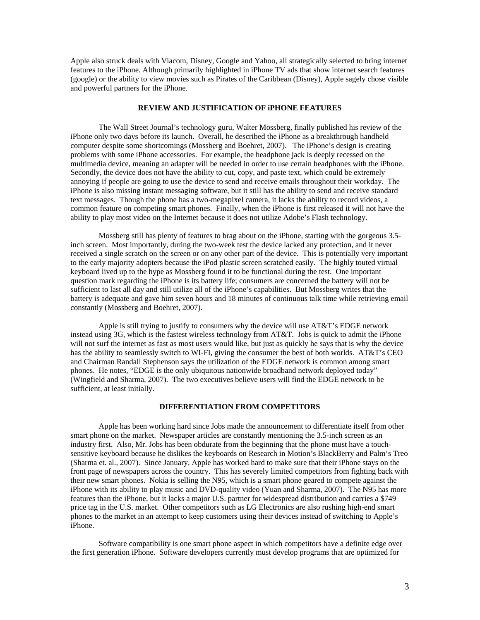Apple also struck deals with Viacom, Disney, Google and Yahoo, all strategically selected to bring internet features to the iPhone. Although primarily highlighted in iPhone TV ads that show internet search features (google) or the ability to view movies such as Pirates of the Caribbean (Disney), Apple sagely chose visible and powerful partners for the iPhone.

### **REVIEW AND JUSTIFICATION OF iPHONE FEATURES**

The Wall Street Journal's technology guru, Walter Mossberg, finally published his review of the iPhone only two days before its launch. Overall, he described the iPhone as a breakthrough handheld computer despite some shortcomings (Mossberg and Boehret, 2007). The iPhone's design is creating problems with some iPhone accessories. For example, the headphone jack is deeply recessed on the multimedia device, meaning an adapter will be needed in order to use certain headphones with the iPhone. Secondly, the device does not have the ability to cut, copy, and paste text, which could be extremely annoying if people are going to use the device to send and receive emails throughout their workday. The iPhone is also missing instant messaging software, but it still has the ability to send and receive standard text messages. Though the phone has a two-megapixel camera, it lacks the ability to record videos, a common feature on competing smart phones. Finally, when the iPhone is first released it will not have the ability to play most video on the Internet because it does not utilize Adobe's Flash technology.

Mossberg still has plenty of features to brag about on the iPhone, starting with the gorgeous 3.5 inch screen. Most importantly, during the two-week test the device lacked any protection, and it never received a single scratch on the screen or on any other part of the device. This is potentially very important to the early majority adopters because the iPod plastic screen scratched easily. The highly touted virtual keyboard lived up to the hype as Mossberg found it to be functional during the test. One important question mark regarding the iPhone is its battery life; consumers are concerned the battery will not be sufficient to last all day and still utilize all of the iPhone's capabilities. But Mossberg writes that the battery is adequate and gave him seven hours and 18 minutes of continuous talk time while retrieving email constantly (Mossberg and Boehret, 2007).

Apple is still trying to justify to consumers why the device will use AT&T's EDGE network instead using 3G, which is the fastest wireless technology from AT&T. Jobs is quick to admit the iPhone will not surf the internet as fast as most users would like, but just as quickly he says that is why the device has the ability to seamlessly switch to WI-FI, giving the consumer the best of both worlds. AT&T's CEO and Chairman Randall Stephenson says the utilization of the EDGE network is common among smart phones. He notes, "EDGE is the only ubiquitous nationwide broadband network deployed today" (Wingfield and Sharma, 2007). The two executives believe users will find the EDGE network to be sufficient, at least initially.

# **DIFFERENTIATION FROM COMPETITORS**

Apple has been working hard since Jobs made the announcement to differentiate itself from other smart phone on the market. Newspaper articles are constantly mentioning the 3.5-inch screen as an industry first. Also, Mr. Jobs has been obdurate from the beginning that the phone must have a touchsensitive keyboard because he dislikes the keyboards on Research in Motion's BlackBerry and Palm's Treo (Sharma et. al., 2007). Since January, Apple has worked hard to make sure that their iPhone stays on the front page of newspapers across the country. This has severely limited competitors from fighting back with their new smart phones. Nokia is selling the N95, which is a smart phone geared to compete against the iPhone with its ability to play music and DVD-quality video (Yuan and Sharma, 2007). The N95 has more features than the iPhone, but it lacks a major U.S. partner for widespread distribution and carries a \$749 price tag in the U.S. market. Other competitors such as LG Electronics are also rushing high-end smart phones to the market in an attempt to keep customers using their devices instead of switching to Apple's iPhone.

Software compatibility is one smart phone aspect in which competitors have a definite edge over the first generation iPhone. Software developers currently must develop programs that are optimized for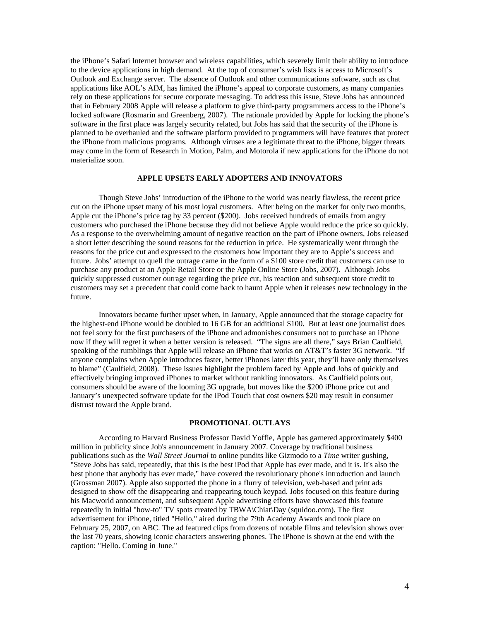the iPhone's Safari Internet browser and wireless capabilities, which severely limit their ability to introduce to the device applications in high demand. At the top of consumer's wish lists is access to Microsoft's Outlook and Exchange server. The absence of Outlook and other communications software, such as chat applications like AOL's AIM, has limited the iPhone's appeal to corporate customers, as many companies rely on these applications for secure corporate messaging. To address this issue, Steve Jobs has announced that in February 2008 Apple will release a platform to give third-party programmers access to the iPhone's locked software (Rosmarin and Greenberg, 2007). The rationale provided by Apple for locking the phone's software in the first place was largely security related, but Jobs has said that the security of the iPhone is planned to be overhauled and the software platform provided to programmers will have features that protect the iPhone from malicious programs. Although viruses are a legitimate threat to the iPhone, bigger threats may come in the form of Research in Motion, Palm, and Motorola if new applications for the iPhone do not materialize soon.

#### **APPLE UPSETS EARLY ADOPTERS AND INNOVATORS**

Though Steve Jobs' introduction of the iPhone to the world was nearly flawless, the recent price cut on the iPhone upset many of his most loyal customers. After being on the market for only two months, Apple cut the iPhone's price tag by 33 percent (\$200). Jobs received hundreds of emails from angry customers who purchased the iPhone because they did not believe Apple would reduce the price so quickly. As a response to the overwhelming amount of negative reaction on the part of iPhone owners, Jobs released a short letter describing the sound reasons for the reduction in price. He systematically went through the reasons for the price cut and expressed to the customers how important they are to Apple's success and future. Jobs' attempt to quell the outrage came in the form of a \$100 store credit that customers can use to purchase any product at an Apple Retail Store or the Apple Online Store (Jobs, 2007). Although Jobs quickly suppressed customer outrage regarding the price cut, his reaction and subsequent store credit to customers may set a precedent that could come back to haunt Apple when it releases new technology in the future.

Innovators became further upset when, in January, Apple announced that the storage capacity for the highest-end iPhone would be doubled to 16 GB for an additional \$100. But at least one journalist does not feel sorry for the first purchasers of the iPhone and admonishes consumers not to purchase an iPhone now if they will regret it when a better version is released. "The signs are all there," says Brian Caulfield, speaking of the rumblings that Apple will release an iPhone that works on AT&T's faster 3G network. "If anyone complains when Apple introduces faster, better iPhones later this year, they'll have only themselves to blame" (Caulfield, 2008). These issues highlight the problem faced by Apple and Jobs of quickly and effectively bringing improved iPhones to market without rankling innovators. As Caulfield points out, consumers should be aware of the looming 3G upgrade, but moves like the \$200 iPhone price cut and January's unexpected software update for the iPod Touch that cost owners \$20 may result in consumer distrust toward the Apple brand.

### **PROMOTIONAL OUTLAYS**

According to Harvard Business Professor David Yoffie, Apple has garnered approximately \$400 million in publicity since Job's announcement in January 2007. Coverage by traditional business publications such as the *Wall Street Journal* to online pundits like Gizmodo to a *Time* writer gushing, "Steve Jobs has said, repeatedly, that this is the best iPod that Apple has ever made, and it is. It's also the best phone that anybody has ever made," have covered the revolutionary phone's introduction and launch (Grossman 2007). Apple also supported the phone in a flurry of television, web-based and print ads designed to show off the disappearing and reappearing touch keypad. Jobs focused on this feature during his Macworld announcement, and subsequent Apple advertising efforts have showcased this feature repeatedly in initial "how-to" TV spots created by TBWA\Chiat\Day (squidoo.com). The first advertisement for iPhone, titled "Hello," aired during the 79th Academy Awards and took place on February 25, 2007, on ABC. The ad featured clips from dozens of notable films and television shows over the last 70 years, showing iconic characters answering phones. The iPhone is shown at the end with the caption: "Hello. Coming in June."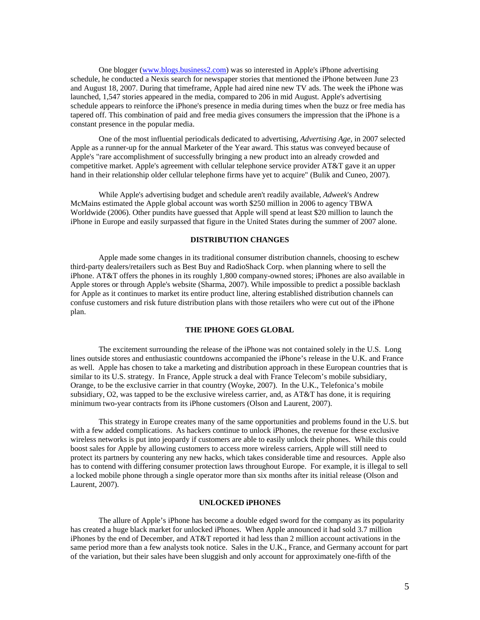One blogger (www.blogs.business2.com) was so interested in Apple's iPhone advertising schedule, he conducted a Nexis search for newspaper stories that mentioned the iPhone between June 23 and August 18, 2007. During that timeframe, Apple had aired nine new TV ads. The week the iPhone was launched, 1,547 stories appeared in the media, compared to 206 in mid August. Apple's advertising schedule appears to reinforce the iPhone's presence in media during times when the buzz or free media has tapered off. This combination of paid and free media gives consumers the impression that the iPhone is a constant presence in the popular media.

 One of the most influential periodicals dedicated to advertising, *Advertising Age*, in 2007 selected Apple as a runner-up for the annual Marketer of the Year award. This status was conveyed because of Apple's "rare accomplishment of successfully bringing a new product into an already crowded and competitive market. Apple's agreement with cellular telephone service provider AT&T gave it an upper hand in their relationship older cellular telephone firms have yet to acquire" (Bulik and Cuneo, 2007).

While Apple's advertising budget and schedule aren't readily available, *Adweek*'s Andrew McMains estimated the Apple global account was worth \$250 million in 2006 to agency TBWA Worldwide (2006). Other pundits have guessed that Apple will spend at least \$20 million to launch the iPhone in Europe and easily surpassed that figure in the United States during the summer of 2007 alone.

#### **DISTRIBUTION CHANGES**

 Apple made some changes in its traditional consumer distribution channels, choosing to eschew third-party dealers/retailers such as Best Buy and RadioShack Corp. when planning where to sell the iPhone. AT&T offers the phones in its roughly 1,800 company-owned stores; iPhones are also available in Apple stores or through Apple's website (Sharma, 2007). While impossible to predict a possible backlash for Apple as it continues to market its entire product line, altering established distribution channels can confuse customers and risk future distribution plans with those retailers who were cut out of the iPhone plan.

# **THE IPHONE GOES GLOBAL**

The excitement surrounding the release of the iPhone was not contained solely in the U.S. Long lines outside stores and enthusiastic countdowns accompanied the iPhone's release in the U.K. and France as well. Apple has chosen to take a marketing and distribution approach in these European countries that is similar to its U.S. strategy. In France, Apple struck a deal with France Telecom's mobile subsidiary, Orange, to be the exclusive carrier in that country (Woyke, 2007). In the U.K., Telefonica's mobile subsidiary, O2, was tapped to be the exclusive wireless carrier, and, as AT&T has done, it is requiring minimum two-year contracts from its iPhone customers (Olson and Laurent, 2007).

This strategy in Europe creates many of the same opportunities and problems found in the U.S. but with a few added complications. As hackers continue to unlock iPhones, the revenue for these exclusive wireless networks is put into jeopardy if customers are able to easily unlock their phones. While this could boost sales for Apple by allowing customers to access more wireless carriers, Apple will still need to protect its partners by countering any new hacks, which takes considerable time and resources. Apple also has to contend with differing consumer protection laws throughout Europe. For example, it is illegal to sell a locked mobile phone through a single operator more than six months after its initial release (Olson and Laurent, 2007).

#### **UNLOCKED iPHONES**

The allure of Apple's iPhone has become a double edged sword for the company as its popularity has created a huge black market for unlocked iPhones. When Apple announced it had sold 3.7 million iPhones by the end of December, and AT&T reported it had less than 2 million account activations in the same period more than a few analysts took notice. Sales in the U.K., France, and Germany account for part of the variation, but their sales have been sluggish and only account for approximately one-fifth of the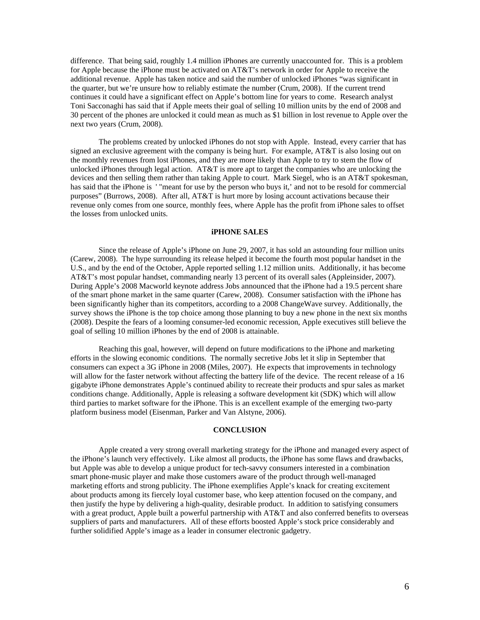difference. That being said, roughly 1.4 million iPhones are currently unaccounted for. This is a problem for Apple because the iPhone must be activated on AT&T's network in order for Apple to receive the additional revenue. Apple has taken notice and said the number of unlocked iPhones "was significant in the quarter, but we're unsure how to reliably estimate the number (Crum, 2008). If the current trend continues it could have a significant effect on Apple's bottom line for years to come. Research analyst Toni Sacconaghi has said that if Apple meets their goal of selling 10 million units by the end of 2008 and 30 percent of the phones are unlocked it could mean as much as \$1 billion in lost revenue to Apple over the next two years (Crum, 2008).

The problems created by unlocked iPhones do not stop with Apple. Instead, every carrier that has signed an exclusive agreement with the company is being hurt. For example, AT&T is also losing out on the monthly revenues from lost iPhones, and they are more likely than Apple to try to stem the flow of unlocked iPhones through legal action. AT&T is more apt to target the companies who are unlocking the devices and then selling them rather than taking Apple to court. Mark Siegel, who is an AT&T spokesman, has said that the iPhone is '"meant for use by the person who buys it,' and not to be resold for commercial purposes" (Burrows, 2008). After all, AT&T is hurt more by losing account activations because their revenue only comes from one source, monthly fees, where Apple has the profit from iPhone sales to offset the losses from unlocked units.

#### **iPHONE SALES**

Since the release of Apple's iPhone on June 29, 2007, it has sold an astounding four million units (Carew, 2008). The hype surrounding its release helped it become the fourth most popular handset in the U.S., and by the end of the October, Apple reported selling 1.12 million units. Additionally, it has become AT&T's most popular handset, commanding nearly 13 percent of its overall sales (Appleinsider, 2007). During Apple's 2008 Macworld keynote address Jobs announced that the iPhone had a 19.5 percent share of the smart phone market in the same quarter (Carew, 2008). Consumer satisfaction with the iPhone has been significantly higher than its competitors, according to a 2008 ChangeWave survey. Additionally, the survey shows the iPhone is the top choice among those planning to buy a new phone in the next six months (2008). Despite the fears of a looming consumer-led economic recession, Apple executives still believe the goal of selling 10 million iPhones by the end of 2008 is attainable.

Reaching this goal, however, will depend on future modifications to the iPhone and marketing efforts in the slowing economic conditions. The normally secretive Jobs let it slip in September that consumers can expect a 3G iPhone in 2008 (Miles, 2007). He expects that improvements in technology will allow for the faster network without affecting the battery life of the device. The recent release of a 16 gigabyte iPhone demonstrates Apple's continued ability to recreate their products and spur sales as market conditions change. Additionally, Apple is releasing a software development kit (SDK) which will allow third parties to market software for the iPhone. This is an excellent example of the emerging two-party platform business model (Eisenman, Parker and Van Alstyne, 2006).

# **CONCLUSION**

Apple created a very strong overall marketing strategy for the iPhone and managed every aspect of the iPhone's launch very effectively. Like almost all products, the iPhone has some flaws and drawbacks, but Apple was able to develop a unique product for tech-savvy consumers interested in a combination smart phone-music player and make those customers aware of the product through well-managed marketing efforts and strong publicity. The iPhone exemplifies Apple's knack for creating excitement about products among its fiercely loyal customer base, who keep attention focused on the company, and then justify the hype by delivering a high-quality, desirable product. In addition to satisfying consumers with a great product, Apple built a powerful partnership with AT&T and also conferred benefits to overseas suppliers of parts and manufacturers. All of these efforts boosted Apple's stock price considerably and further solidified Apple's image as a leader in consumer electronic gadgetry.